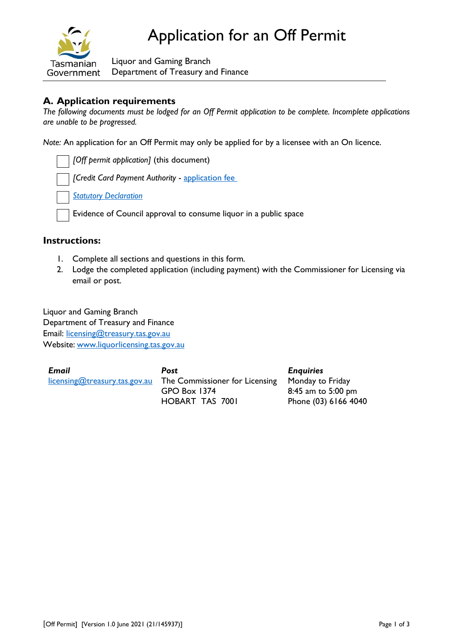

Liquor and Gaming Branch Department of Treasury and Finance

# **A. Application requirements**

*The following documents must be lodged for an Off Permit application to be complete. Incomplete applications are unable to be progressed.*

*Note:* An application for an Off Permit may only be applied for by a licensee with an On licence.

*[Off permit application]* (this document)

*[Credit Card Payment Authority* - [application fee](https://www.treasury.tas.gov.au/liquor-and-gaming/fees)

*[Statutory Declaration](https://www.treasury.tas.gov.au/Documents/Statutory%20Declaration.pdf)*

Evidence of Council approval to consume liquor in a public space

## **Instructions:**

- 1. Complete all sections and questions in this form*.*
- 2. Lodge the completed application (including payment) with the Commissioner for Licensing via email or post.

Liquor and Gaming Branch Department of Treasury and Finance Email: [licensing@treasury.tas.gov.au](mailto:licensing@treasury.tas.gov.au) Website: www.liquorlicensing.tas.gov.au

*Email* [licensing@treasury.tas.gov.au](mailto:licensing@treasury.tas.gov.au) *Post* The Commissioner for Licensing GPO Box 1374 HOBART TAS 7001 *Enquiries* Monday to Friday 8:45 am to 5:00 pm Phone (03) 6166 4040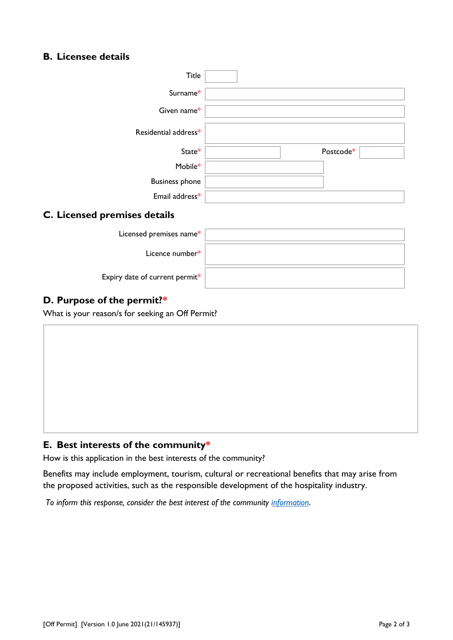# **B. Licensee details**

| <b>Title</b>                   |           |
|--------------------------------|-----------|
| Surname*                       |           |
| Given name*                    |           |
| Residential address*           |           |
| State*                         | Postcode* |
| Mobile*                        |           |
| <b>Business phone</b>          |           |
| Email address*                 |           |
| C. Licensed premises details   |           |
| Licensed premises name*        |           |
| Licence number*                |           |
| Expiry date of current permit* |           |
| D. Purpose of the permit?*     |           |

What is your reason/s for seeking an Off Permit?

## **E. Best interests of the community\***

How is this application in the best interests of the community?

Benefits may include employment, tourism, cultural or recreational benefits that may arise from the proposed activities, such as the responsible development of the hospitality industry.

*To inform this response, consider the best interest of the community [information](https://www.treasury.tas.gov.au/liquor-and-gaming/forms/supporting-information#%E2%80%8BLiquorLicenceApplicantSubmission%3Cbr%3E)*.